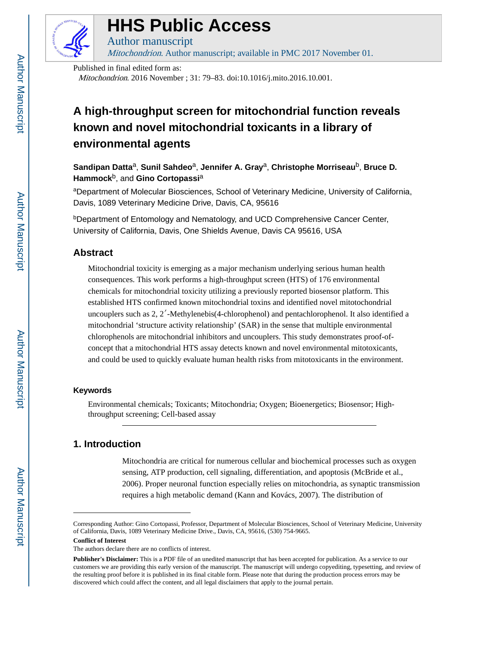

# **HHS Public Access**

Mitochondrion. Author manuscript; available in PMC 2017 November 01.

Published in final edited form as:

Author manuscript

Mitochondrion. 2016 November ; 31: 79–83. doi:10.1016/j.mito.2016.10.001.

# **A high-throughput screen for mitochondrial function reveals known and novel mitochondrial toxicants in a library of environmental agents**

**Sandipan Datta**a, **Sunil Sahdeo**a, **Jennifer A. Gray**a, **Christophe Morriseau**b, **Bruce D. Hammock**b, and **Gino Cortopassi**<sup>a</sup>

<sup>a</sup>Department of Molecular Biosciences, School of Veterinary Medicine, University of California, Davis, 1089 Veterinary Medicine Drive, Davis, CA, 95616

**bDepartment of Entomology and Nematology, and UCD Comprehensive Cancer Center,** University of California, Davis, One Shields Avenue, Davis CA 95616, USA

# **Abstract**

Mitochondrial toxicity is emerging as a major mechanism underlying serious human health consequences. This work performs a high-throughput screen (HTS) of 176 environmental chemicals for mitochondrial toxicity utilizing a previously reported biosensor platform. This established HTS confirmed known mitochondrial toxins and identified novel mitotochondrial uncouplers such as 2, 2′-Methylenebis(4-chlorophenol) and pentachlorophenol. It also identified a mitochondrial 'structure activity relationship' (SAR) in the sense that multiple environmental chlorophenols are mitochondrial inhibitors and uncouplers. This study demonstrates proof-ofconcept that a mitochondrial HTS assay detects known and novel environmental mitotoxicants, and could be used to quickly evaluate human health risks from mitotoxicants in the environment.

# **Keywords**

Environmental chemicals; Toxicants; Mitochondria; Oxygen; Bioenergetics; Biosensor; Highthroughput screening; Cell-based assay

# **1. Introduction**

Mitochondria are critical for numerous cellular and biochemical processes such as oxygen sensing, ATP production, cell signaling, differentiation, and apoptosis (McBride et al., 2006). Proper neuronal function especially relies on mitochondria, as synaptic transmission requires a high metabolic demand (Kann and Kovács, 2007). The distribution of

**Conflict of Interest**

Corresponding Author: Gino Cortopassi, Professor, Department of Molecular Biosciences, School of Veterinary Medicine, University of California, Davis, 1089 Veterinary Medicine Drive., Davis, CA, 95616, (530) 754-9665.

The authors declare there are no conflicts of interest.

**Publisher's Disclaimer:** This is a PDF file of an unedited manuscript that has been accepted for publication. As a service to our customers we are providing this early version of the manuscript. The manuscript will undergo copyediting, typesetting, and review of the resulting proof before it is published in its final citable form. Please note that during the production process errors may be discovered which could affect the content, and all legal disclaimers that apply to the journal pertain.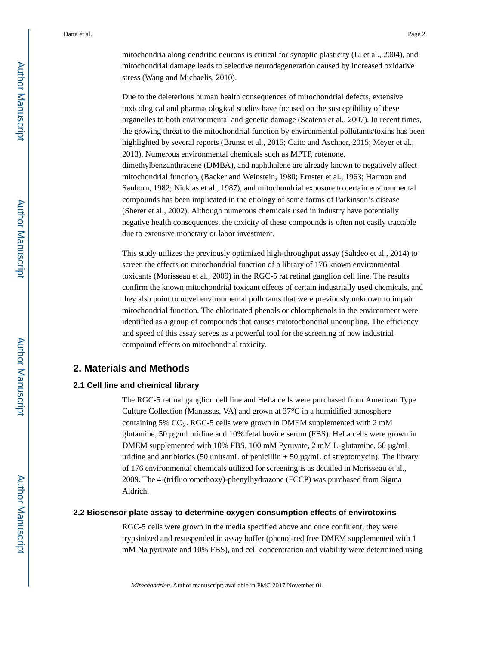mitochondria along dendritic neurons is critical for synaptic plasticity (Li et al., 2004), and mitochondrial damage leads to selective neurodegeneration caused by increased oxidative stress (Wang and Michaelis, 2010).

Due to the deleterious human health consequences of mitochondrial defects, extensive toxicological and pharmacological studies have focused on the susceptibility of these organelles to both environmental and genetic damage (Scatena et al., 2007). In recent times, the growing threat to the mitochondrial function by environmental pollutants/toxins has been highlighted by several reports (Brunst et al., 2015; Caito and Aschner, 2015; Meyer et al., 2013). Numerous environmental chemicals such as MPTP, rotenone, dimethylbenzanthracene (DMBA), and naphthalene are already known to negatively affect mitochondrial function, (Backer and Weinstein, 1980; Ernster et al., 1963; Harmon and Sanborn, 1982; Nicklas et al., 1987), and mitochondrial exposure to certain environmental compounds has been implicated in the etiology of some forms of Parkinson's disease (Sherer et al., 2002). Although numerous chemicals used in industry have potentially negative health consequences, the toxicity of these compounds is often not easily tractable due to extensive monetary or labor investment.

This study utilizes the previously optimized high-throughput assay (Sahdeo et al., 2014) to screen the effects on mitochondrial function of a library of 176 known environmental toxicants (Morisseau et al., 2009) in the RGC-5 rat retinal ganglion cell line. The results confirm the known mitochondrial toxicant effects of certain industrially used chemicals, and they also point to novel environmental pollutants that were previously unknown to impair mitochondrial function. The chlorinated phenols or chlorophenols in the environment were identified as a group of compounds that causes mitotochondrial uncoupling. The efficiency and speed of this assay serves as a powerful tool for the screening of new industrial compound effects on mitochondrial toxicity.

# **2. Materials and Methods**

### **2.1 Cell line and chemical library**

The RGC-5 retinal ganglion cell line and HeLa cells were purchased from American Type Culture Collection (Manassas, VA) and grown at 37°C in a humidified atmosphere containing 5%  $CO<sub>2</sub>$ . RGC-5 cells were grown in DMEM supplemented with 2 mM glutamine, 50 μg/ml uridine and 10% fetal bovine serum (FBS). HeLa cells were grown in DMEM supplemented with 10% FBS, 100 mM Pyruvate, 2 mM L-glutamine, 50 μg/mL uridine and antibiotics (50 units/mL of penicillin  $+ 50 \mu g/mL$  of streptomycin). The library of 176 environmental chemicals utilized for screening is as detailed in Morisseau et al., 2009. The 4-(trifluoromethoxy)-phenylhydrazone (FCCP) was purchased from Sigma Aldrich.

# **2.2 Biosensor plate assay to determine oxygen consumption effects of envirotoxins**

RGC-5 cells were grown in the media specified above and once confluent, they were trypsinized and resuspended in assay buffer (phenol-red free DMEM supplemented with 1 mM Na pyruvate and 10% FBS), and cell concentration and viability were determined using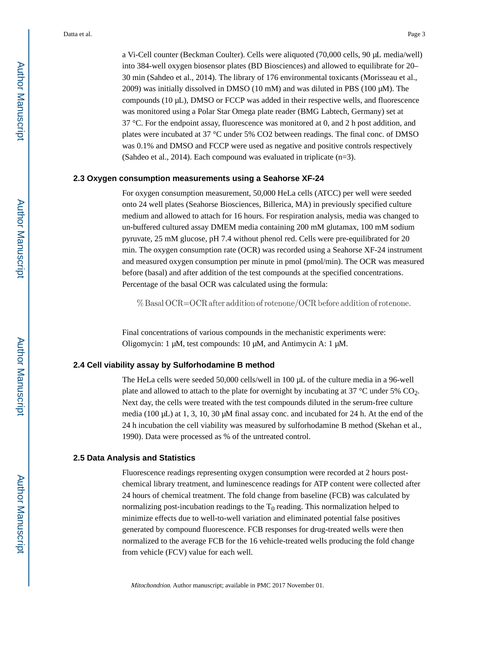a Vi-Cell counter (Beckman Coulter). Cells were aliquoted (70,000 cells, 90 μL media/well) into 384-well oxygen biosensor plates (BD Biosciences) and allowed to equilibrate for 20– 30 min (Sahdeo et al., 2014). The library of 176 environmental toxicants (Morisseau et al., 2009) was initially dissolved in DMSO (10 mM) and was diluted in PBS (100 μM). The compounds (10 μL), DMSO or FCCP was added in their respective wells, and fluorescence was monitored using a Polar Star Omega plate reader (BMG Labtech, Germany) set at 37 °C. For the endpoint assay, fluorescence was monitored at 0, and 2 h post addition, and plates were incubated at 37 °C under 5% CO2 between readings. The final conc. of DMSO was 0.1% and DMSO and FCCP were used as negative and positive controls respectively (Sahdeo et al., 2014). Each compound was evaluated in triplicate (n=3).

#### **2.3 Oxygen consumption measurements using a Seahorse XF-24**

For oxygen consumption measurement, 50,000 HeLa cells (ATCC) per well were seeded onto 24 well plates (Seahorse Biosciences, Billerica, MA) in previously specified culture medium and allowed to attach for 16 hours. For respiration analysis, media was changed to un-buffered cultured assay DMEM media containing 200 mM glutamax, 100 mM sodium pyruvate, 25 mM glucose, pH 7.4 without phenol red. Cells were pre-equilibrated for 20 min. The oxygen consumption rate (OCR) was recorded using a Seahorse XF-24 instrument and measured oxygen consumption per minute in pmol (pmol/min). The OCR was measured before (basal) and after addition of the test compounds at the specified concentrations. Percentage of the basal OCR was calculated using the formula:

 $\%$  Basal OCR=OCR after addition of rotenone/OCR before addition of rotenone.

Final concentrations of various compounds in the mechanistic experiments were: Oligomycin: 1 μM, test compounds: 10 μM, and Antimycin A: 1 μM.

#### **2.4 Cell viability assay by Sulforhodamine B method**

The HeLa cells were seeded 50,000 cells/well in 100 μL of the culture media in a 96-well plate and allowed to attach to the plate for overnight by incubating at 37  $\degree$ C under 5% CO<sub>2</sub>. Next day, the cells were treated with the test compounds diluted in the serum-free culture media (100  $\mu$ L) at 1, 3, 10, 30  $\mu$ M final assay conc. and incubated for 24 h. At the end of the 24 h incubation the cell viability was measured by sulforhodamine B method (Skehan et al., 1990). Data were processed as % of the untreated control.

#### **2.5 Data Analysis and Statistics**

Fluorescence readings representing oxygen consumption were recorded at 2 hours postchemical library treatment, and luminescence readings for ATP content were collected after 24 hours of chemical treatment. The fold change from baseline (FCB) was calculated by normalizing post-incubation readings to the  $T_0$  reading. This normalization helped to minimize effects due to well-to-well variation and eliminated potential false positives generated by compound fluorescence. FCB responses for drug-treated wells were then normalized to the average FCB for the 16 vehicle-treated wells producing the fold change from vehicle (FCV) value for each well.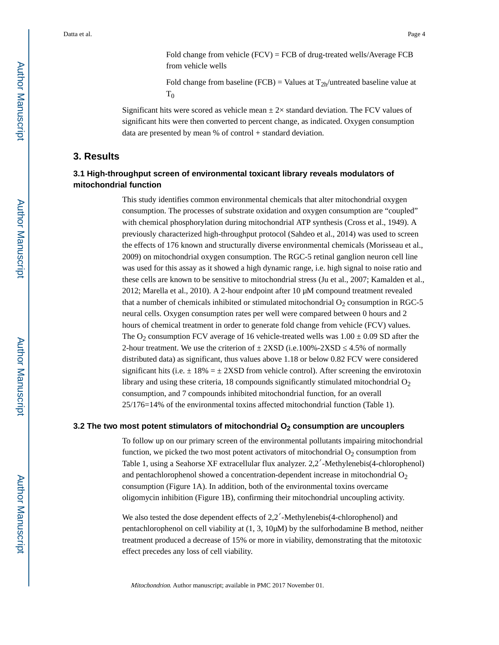Fold change from vehicle (FCV) = FCB of drug-treated wells/Average FCB from vehicle wells

Fold change from baseline (FCB) = Values at  $T_{2h}$ /untreated baseline value at  $T_0$ 

Significant hits were scored as vehicle mean  $\pm 2\times$  standard deviation. The FCV values of significant hits were then converted to percent change, as indicated. Oxygen consumption data are presented by mean % of control + standard deviation.

# **3. Results**

# **3.1 High-throughput screen of environmental toxicant library reveals modulators of mitochondrial function**

This study identifies common environmental chemicals that alter mitochondrial oxygen consumption. The processes of substrate oxidation and oxygen consumption are "coupled" with chemical phosphorylation during mitochondrial ATP synthesis (Cross et al., 1949). A previously characterized high-throughput protocol (Sahdeo et al., 2014) was used to screen the effects of 176 known and structurally diverse environmental chemicals (Morisseau et al., 2009) on mitochondrial oxygen consumption. The RGC-5 retinal ganglion neuron cell line was used for this assay as it showed a high dynamic range, i.e. high signal to noise ratio and these cells are known to be sensitive to mitochondrial stress (Ju et al., 2007; Kamalden et al., 2012; Marella et al., 2010). A 2-hour endpoint after 10 μM compound treatment revealed that a number of chemicals inhibited or stimulated mitochondrial  $O<sub>2</sub>$  consumption in RGC-5 neural cells. Oxygen consumption rates per well were compared between 0 hours and 2 hours of chemical treatment in order to generate fold change from vehicle (FCV) values. The O<sub>2</sub> consumption FCV average of 16 vehicle-treated wells was  $1.00 \pm 0.09$  SD after the 2-hour treatment. We use the criterion of  $\pm$  2XSD (i.e.100%-2XSD 4.5% of normally distributed data) as significant, thus values above 1.18 or below 0.82 FCV were considered significant hits (i.e.  $\pm$  18% =  $\pm$  2XSD from vehicle control). After screening the envirotoxin library and using these criteria, 18 compounds significantly stimulated mitochondrial  $O<sub>2</sub>$ consumption, and 7 compounds inhibited mitochondrial function, for an overall 25/176=14% of the environmental toxins affected mitochondrial function (Table 1).

### **3.2 The two most potent stimulators of mitochondrial O2 consumption are uncouplers**

To follow up on our primary screen of the environmental pollutants impairing mitochondrial function, we picked the two most potent activators of mitochondrial  $O_2$  consumption from Table 1, using a Seahorse XF extracellular flux analyzer. 2,2′-Methylenebis(4-chlorophenol) and pentachlorophenol showed a concentration-dependent increase in mitochondrial  $O<sub>2</sub>$ consumption (Figure 1A). In addition, both of the environmental toxins overcame oligomycin inhibition (Figure 1B), confirming their mitochondrial uncoupling activity.

We also tested the dose dependent effects of 2,2<sup>'</sup>-Methylenebis(4-chlorophenol) and pentachlorophenol on cell viability at (1, 3, 10μM) by the sulforhodamine B method, neither treatment produced a decrease of 15% or more in viability, demonstrating that the mitotoxic effect precedes any loss of cell viability.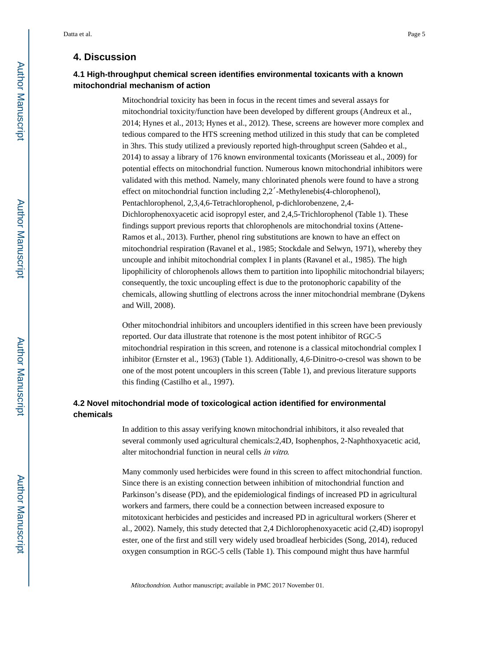# **4. Discussion**

# **4.1 High-throughput chemical screen identifies environmental toxicants with a known mitochondrial mechanism of action**

Mitochondrial toxicity has been in focus in the recent times and several assays for mitochondrial toxicity/function have been developed by different groups (Andreux et al., 2014; Hynes et al., 2013; Hynes et al., 2012). These, screens are however more complex and tedious compared to the HTS screening method utilized in this study that can be completed in 3hrs. This study utilized a previously reported high-throughput screen (Sahdeo et al., 2014) to assay a library of 176 known environmental toxicants (Morisseau et al., 2009) for potential effects on mitochondrial function. Numerous known mitochondrial inhibitors were validated with this method. Namely, many chlorinated phenols were found to have a strong effect on mitochondrial function including 2,2′-Methylenebis(4-chlorophenol), Pentachlorophenol, 2,3,4,6-Tetrachlorophenol, p-dichlorobenzene, 2,4- Dichlorophenoxyacetic acid isopropyl ester, and 2,4,5-Trichlorophenol (Table 1). These findings support previous reports that chlorophenols are mitochondrial toxins (Attene-Ramos et al., 2013). Further, phenol ring substitutions are known to have an effect on mitochondrial respiration (Ravanel et al., 1985; Stockdale and Selwyn, 1971), whereby they uncouple and inhibit mitochondrial complex I in plants (Ravanel et al., 1985). The high lipophilicity of chlorophenols allows them to partition into lipophilic mitochondrial bilayers; consequently, the toxic uncoupling effect is due to the protonophoric capability of the chemicals, allowing shuttling of electrons across the inner mitochondrial membrane (Dykens and Will, 2008).

Other mitochondrial inhibitors and uncouplers identified in this screen have been previously reported. Our data illustrate that rotenone is the most potent inhibitor of RGC-5 mitochondrial respiration in this screen, and rotenone is a classical mitochondrial complex I inhibitor (Ernster et al., 1963) (Table 1). Additionally, 4,6-Dinitro-o-cresol was shown to be one of the most potent uncouplers in this screen (Table 1), and previous literature supports this finding (Castilho et al., 1997).

# **4.2 Novel mitochondrial mode of toxicological action identified for environmental chemicals**

In addition to this assay verifying known mitochondrial inhibitors, it also revealed that several commonly used agricultural chemicals:2,4D, Isophenphos, 2-Naphthoxyacetic acid, alter mitochondrial function in neural cells in vitro.

Many commonly used herbicides were found in this screen to affect mitochondrial function. Since there is an existing connection between inhibition of mitochondrial function and Parkinson's disease (PD), and the epidemiological findings of increased PD in agricultural workers and farmers, there could be a connection between increased exposure to mitotoxicant herbicides and pesticides and increased PD in agricultural workers (Sherer et al., 2002). Namely, this study detected that 2,4 Dichlorophenoxyacetic acid (2,4D) isopropyl ester, one of the first and still very widely used broadleaf herbicides (Song, 2014), reduced oxygen consumption in RGC-5 cells (Table 1). This compound might thus have harmful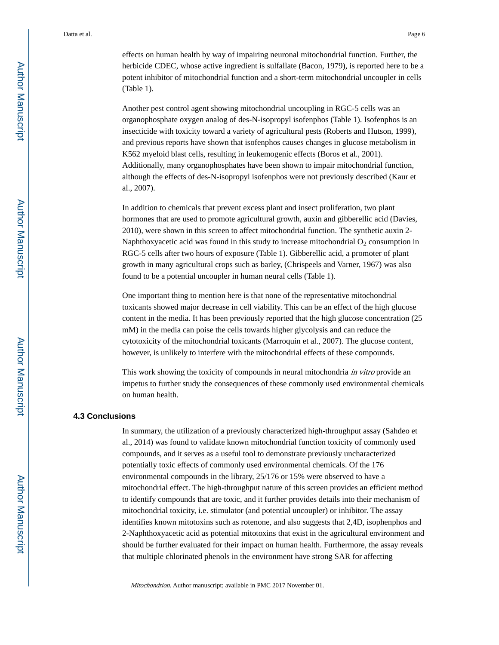effects on human health by way of impairing neuronal mitochondrial function. Further, the herbicide CDEC, whose active ingredient is sulfallate (Bacon, 1979), is reported here to be a potent inhibitor of mitochondrial function and a short-term mitochondrial uncoupler in cells (Table 1).

Another pest control agent showing mitochondrial uncoupling in RGC-5 cells was an organophosphate oxygen analog of des-N-isopropyl isofenphos (Table 1). Isofenphos is an insecticide with toxicity toward a variety of agricultural pests (Roberts and Hutson, 1999), and previous reports have shown that isofenphos causes changes in glucose metabolism in K562 myeloid blast cells, resulting in leukemogenic effects (Boros et al., 2001). Additionally, many organophosphates have been shown to impair mitochondrial function, although the effects of des-N-isopropyl isofenphos were not previously described (Kaur et al., 2007).

In addition to chemicals that prevent excess plant and insect proliferation, two plant hormones that are used to promote agricultural growth, auxin and gibberellic acid (Davies, 2010), were shown in this screen to affect mitochondrial function. The synthetic auxin 2- Naphthoxyacetic acid was found in this study to increase mitochondrial  $O_2$  consumption in RGC-5 cells after two hours of exposure (Table 1). Gibberellic acid, a promoter of plant growth in many agricultural crops such as barley, (Chrispeels and Varner, 1967) was also found to be a potential uncoupler in human neural cells (Table 1).

One important thing to mention here is that none of the representative mitochondrial toxicants showed major decrease in cell viability. This can be an effect of the high glucose content in the media. It has been previously reported that the high glucose concentration (25 mM) in the media can poise the cells towards higher glycolysis and can reduce the cytotoxicity of the mitochondrial toxicants (Marroquin et al., 2007). The glucose content, however, is unlikely to interfere with the mitochondrial effects of these compounds.

This work showing the toxicity of compounds in neural mitochondria in vitro provide an impetus to further study the consequences of these commonly used environmental chemicals on human health.

#### **4.3 Conclusions**

In summary, the utilization of a previously characterized high-throughput assay (Sahdeo et al., 2014) was found to validate known mitochondrial function toxicity of commonly used compounds, and it serves as a useful tool to demonstrate previously uncharacterized potentially toxic effects of commonly used environmental chemicals. Of the 176 environmental compounds in the library, 25/176 or 15% were observed to have a mitochondrial effect. The high-throughput nature of this screen provides an efficient method to identify compounds that are toxic, and it further provides details into their mechanism of mitochondrial toxicity, i.e. stimulator (and potential uncoupler) or inhibitor. The assay identifies known mitotoxins such as rotenone, and also suggests that 2,4D, isophenphos and 2-Naphthoxyacetic acid as potential mitotoxins that exist in the agricultural environment and should be further evaluated for their impact on human health. Furthermore, the assay reveals that multiple chlorinated phenols in the environment have strong SAR for affecting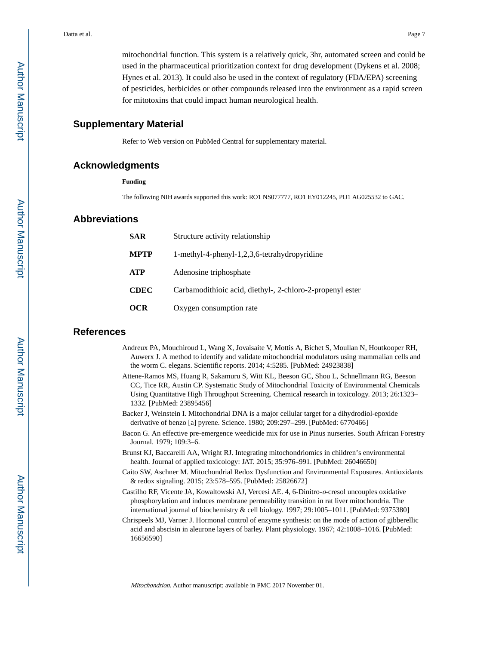mitochondrial function. This system is a relatively quick, 3hr, automated screen and could be used in the pharmaceutical prioritization context for drug development (Dykens et al. 2008; Hynes et al. 2013). It could also be used in the context of regulatory (FDA/EPA) screening of pesticides, herbicides or other compounds released into the environment as a rapid screen for mitotoxins that could impact human neurological health.

# **Supplementary Material**

Refer to Web version on PubMed Central for supplementary material.

#### **Acknowledgments**

**Funding**

The following NIH awards supported this work: RO1 NS077777, RO1 EY012245, PO1 AG025532 to GAC.

#### **Abbreviations**

| <b>SAR</b>  | Structure activity relationship                           |
|-------------|-----------------------------------------------------------|
| <b>MPTP</b> | 1-methyl-4-phenyl-1,2,3,6-tetrahydropyridine              |
| <b>ATP</b>  | Adenosine triphosphate                                    |
| <b>CDEC</b> | Carbamodithioic acid, diethyl-, 2-chloro-2-propenyl ester |
| OCR         | Oxygen consumption rate                                   |

# **References**

- Andreux PA, Mouchiroud L, Wang X, Jovaisaite V, Mottis A, Bichet S, Moullan N, Houtkooper RH, Auwerx J. A method to identify and validate mitochondrial modulators using mammalian cells and the worm C. elegans. Scientific reports. 2014; 4:5285. [PubMed: 24923838]
- Attene-Ramos MS, Huang R, Sakamuru S, Witt KL, Beeson GC, Shou L, Schnellmann RG, Beeson CC, Tice RR, Austin CP. Systematic Study of Mitochondrial Toxicity of Environmental Chemicals Using Quantitative High Throughput Screening. Chemical research in toxicology. 2013; 26:1323– 1332. [PubMed: 23895456]
- Backer J, Weinstein I. Mitochondrial DNA is a major cellular target for a dihydrodiol-epoxide derivative of benzo [a] pyrene. Science. 1980; 209:297–299. [PubMed: 6770466]
- Bacon G. An effective pre-emergence weedicide mix for use in Pinus nurseries. South African Forestry Journal. 1979; 109:3–6.
- Brunst KJ, Baccarelli AA, Wright RJ. Integrating mitochondriomics in children's environmental health. Journal of applied toxicology: JAT. 2015; 35:976–991. [PubMed: 26046650]
- Caito SW, Aschner M. Mitochondrial Redox Dysfunction and Environmental Exposures. Antioxidants & redox signaling. 2015; 23:578–595. [PubMed: 25826672]
- Castilho RF, Vicente JA, Kowaltowski AJ, Vercesi AE. 4, 6-Dinitro-o-cresol uncouples oxidative phosphorylation and induces membrane permeability transition in rat liver mitochondria. The international journal of biochemistry & cell biology. 1997; 29:1005–1011. [PubMed: 9375380]
- Chrispeels MJ, Varner J. Hormonal control of enzyme synthesis: on the mode of action of gibberellic acid and abscisin in aleurone layers of barley. Plant physiology. 1967; 42:1008–1016. [PubMed: 16656590]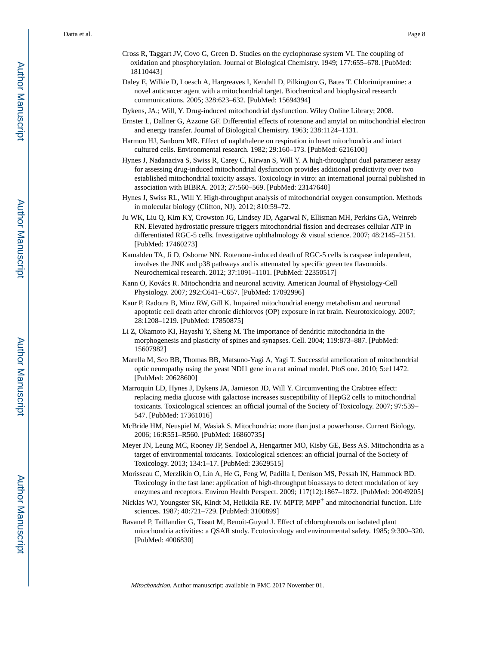- Cross R, Taggart JV, Covo G, Green D. Studies on the cyclophorase system VI. The coupling of oxidation and phosphorylation. Journal of Biological Chemistry. 1949; 177:655–678. [PubMed: 18110443]
- Daley E, Wilkie D, Loesch A, Hargreaves I, Kendall D, Pilkington G, Bates T. Chlorimipramine: a novel anticancer agent with a mitochondrial target. Biochemical and biophysical research communications. 2005; 328:623–632. [PubMed: 15694394]
- Dykens, JA.; Will, Y. Drug-induced mitochondrial dysfunction. Wiley Online Library; 2008.
- Ernster L, Dallner G, Azzone GF. Differential effects of rotenone and amytal on mitochondrial electron and energy transfer. Journal of Biological Chemistry. 1963; 238:1124–1131.
- Harmon HJ, Sanborn MR. Effect of naphthalene on respiration in heart mitochondria and intact cultured cells. Environmental research. 1982; 29:160–173. [PubMed: 6216100]
- Hynes J, Nadanaciva S, Swiss R, Carey C, Kirwan S, Will Y. A high-throughput dual parameter assay for assessing drug-induced mitochondrial dysfunction provides additional predictivity over two established mitochondrial toxicity assays. Toxicology in vitro: an international journal published in association with BIBRA. 2013; 27:560–569. [PubMed: 23147640]
- Hynes J, Swiss RL, Will Y. High-throughput analysis of mitochondrial oxygen consumption. Methods in molecular biology (Clifton, NJ). 2012; 810:59–72.
- Ju WK, Liu Q, Kim KY, Crowston JG, Lindsey JD, Agarwal N, Ellisman MH, Perkins GA, Weinreb RN. Elevated hydrostatic pressure triggers mitochondrial fission and decreases cellular ATP in differentiated RGC-5 cells. Investigative ophthalmology & visual science. 2007; 48:2145–2151. [PubMed: 17460273]
- Kamalden TA, Ji D, Osborne NN. Rotenone-induced death of RGC-5 cells is caspase independent, involves the JNK and p38 pathways and is attenuated by specific green tea flavonoids. Neurochemical research. 2012; 37:1091–1101. [PubMed: 22350517]
- Kann O, Kovács R. Mitochondria and neuronal activity. American Journal of Physiology-Cell Physiology. 2007; 292:C641–C657. [PubMed: 17092996]
- Kaur P, Radotra B, Minz RW, Gill K. Impaired mitochondrial energy metabolism and neuronal apoptotic cell death after chronic dichlorvos (OP) exposure in rat brain. Neurotoxicology. 2007; 28:1208–1219. [PubMed: 17850875]
- Li Z, Okamoto KI, Hayashi Y, Sheng M. The importance of dendritic mitochondria in the morphogenesis and plasticity of spines and synapses. Cell. 2004; 119:873–887. [PubMed: 15607982]
- Marella M, Seo BB, Thomas BB, Matsuno-Yagi A, Yagi T. Successful amelioration of mitochondrial optic neuropathy using the yeast NDI1 gene in a rat animal model. PloS one. 2010; 5:e11472. [PubMed: 20628600]
- Marroquin LD, Hynes J, Dykens JA, Jamieson JD, Will Y. Circumventing the Crabtree effect: replacing media glucose with galactose increases susceptibility of HepG2 cells to mitochondrial toxicants. Toxicological sciences: an official journal of the Society of Toxicology. 2007; 97:539– 547. [PubMed: 17361016]
- McBride HM, Neuspiel M, Wasiak S. Mitochondria: more than just a powerhouse. Current Biology. 2006; 16:R551–R560. [PubMed: 16860735]
- Meyer JN, Leung MC, Rooney JP, Sendoel A, Hengartner MO, Kisby GE, Bess AS. Mitochondria as a target of environmental toxicants. Toxicological sciences: an official journal of the Society of Toxicology. 2013; 134:1–17. [PubMed: 23629515]
- Morisseau C, Merzlikin O, Lin A, He G, Feng W, Padilla I, Denison MS, Pessah IN, Hammock BD. Toxicology in the fast lane: application of high-throughput bioassays to detect modulation of key enzymes and receptors. Environ Health Perspect. 2009; 117(12):1867–1872. [PubMed: 20049205]
- Nicklas WJ, Youngster SK, Kindt M, Heikkila RE. IV. MPTP, MPP+ and mitochondrial function. Life sciences. 1987; 40:721–729. [PubMed: 3100899]
- Ravanel P, Taillandier G, Tissut M, Benoit-Guyod J. Effect of chlorophenols on isolated plant mitochondria activities: a QSAR study. Ecotoxicology and environmental safety. 1985; 9:300–320. [PubMed: 4006830]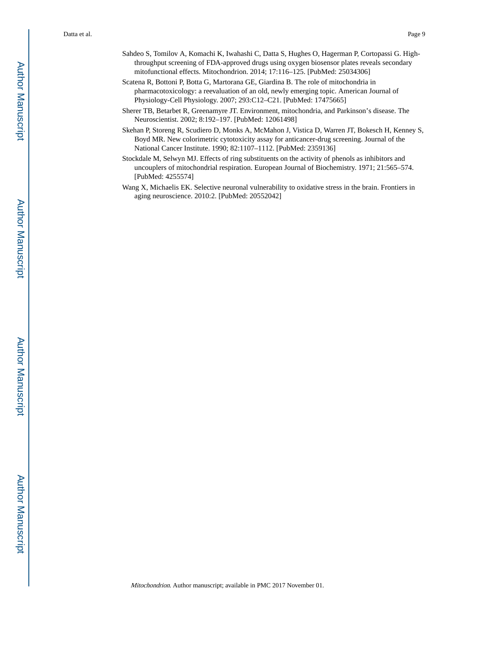- Scatena R, Bottoni P, Botta G, Martorana GE, Giardina B. The role of mitochondria in pharmacotoxicology: a reevaluation of an old, newly emerging topic. American Journal of Physiology-Cell Physiology. 2007; 293:C12–C21. [PubMed: 17475665]
- Sherer TB, Betarbet R, Greenamyre JT. Environment, mitochondria, and Parkinson's disease. The Neuroscientist. 2002; 8:192–197. [PubMed: 12061498]
- Skehan P, Storeng R, Scudiero D, Monks A, McMahon J, Vistica D, Warren JT, Bokesch H, Kenney S, Boyd MR. New colorimetric cytotoxicity assay for anticancer-drug screening. Journal of the National Cancer Institute. 1990; 82:1107–1112. [PubMed: 2359136]
- Stockdale M, Selwyn MJ. Effects of ring substituents on the activity of phenols as inhibitors and uncouplers of mitochondrial respiration. European Journal of Biochemistry. 1971; 21:565–574. [PubMed: 4255574]
- Wang X, Michaelis EK. Selective neuronal vulnerability to oxidative stress in the brain. Frontiers in aging neuroscience. 2010:2. [PubMed: 20552042]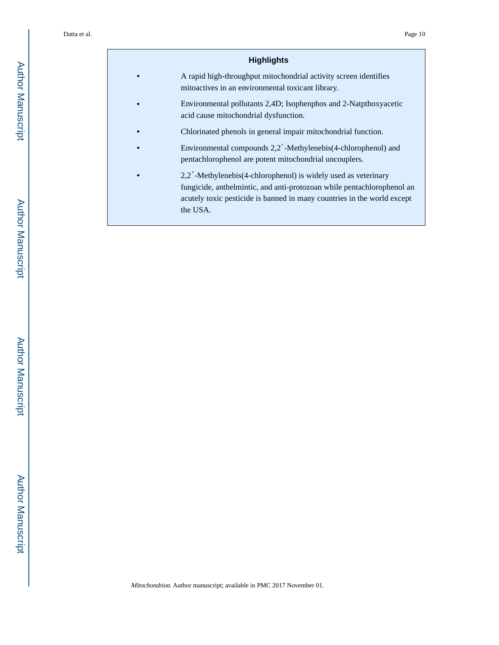# **Highlights**

- **•** A rapid high-throughput mitochondrial activity screen identifies mitoactives in an environmental toxicant library.
- **•** Environmental pollutants 2,4D; Isophenphos and 2-Natpthoxyacetic acid cause mitochondrial dysfunction.
- **•** Chlorinated phenols in general impair mitochondrial function.
- **•** Environmental compounds 2,2′-Methylenebis(4-chlorophenol) and pentachlorophenol are potent mitochondrial uncouplers.
- **•** 2,2′-Methylenebis(4-chlorophenol) is widely used as veterinary fungicide, anthelmintic, and anti-protozoan while pentachlorophenol an acutely toxic pesticide is banned in many countries in the world except the USA.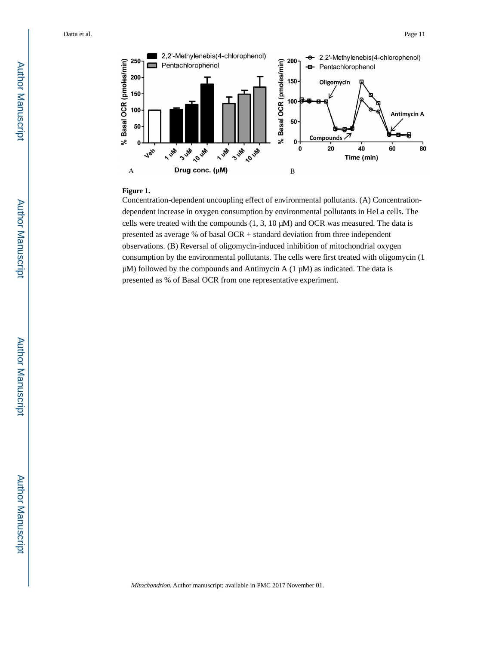

#### **Figure 1.**

Concentration-dependent uncoupling effect of environmental pollutants. (A) Concentrationdependent increase in oxygen consumption by environmental pollutants in HeLa cells. The cells were treated with the compounds (1, 3, 10 μM) and OCR was measured. The data is presented as average % of basal OCR + standard deviation from three independent observations. (B) Reversal of oligomycin-induced inhibition of mitochondrial oxygen consumption by the environmental pollutants. The cells were first treated with oligomycin (1  $\mu$ M) followed by the compounds and Antimycin A (1  $\mu$ M) as indicated. The data is presented as % of Basal OCR from one representative experiment.